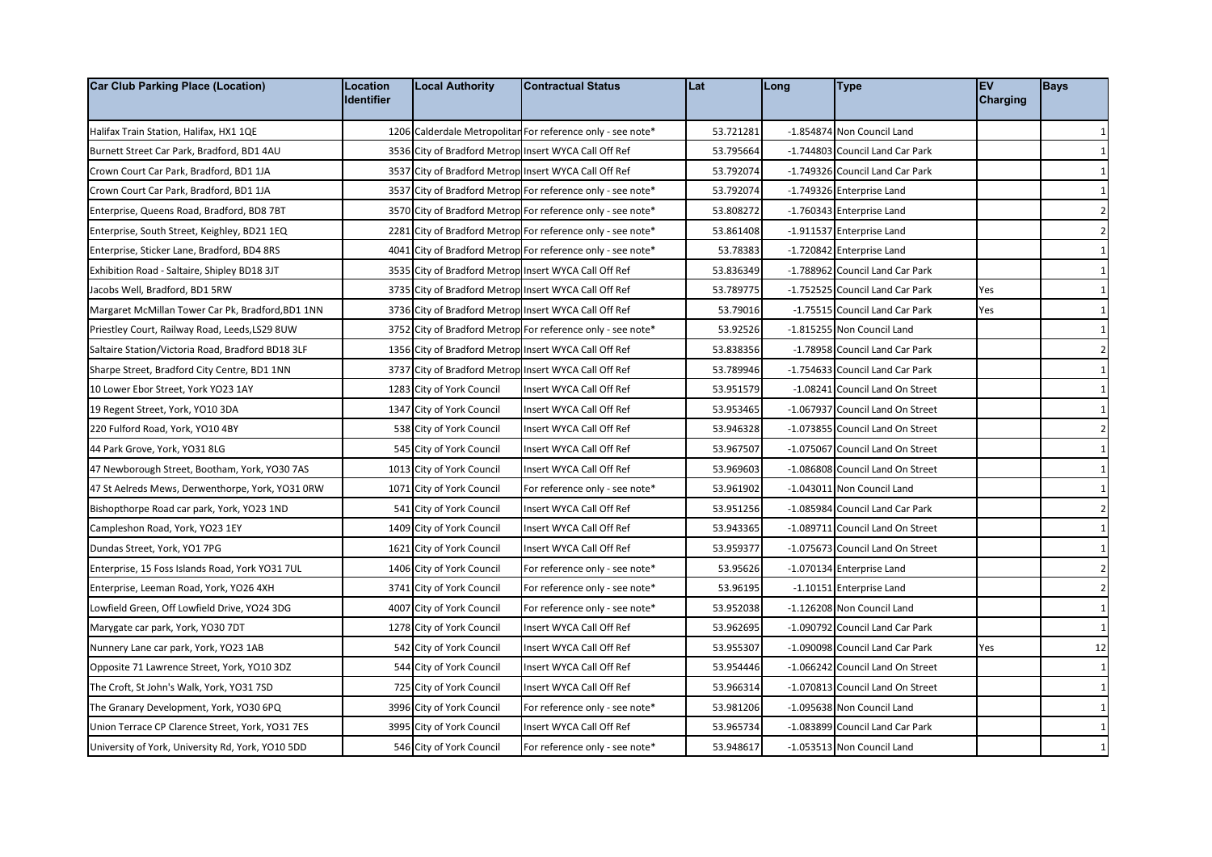| <b>Car Club Parking Place (Location)</b>          | Location<br><b>Identifier</b> | <b>Local Authority</b>    | <b>Contractual Status</b>                                   | Lat       | Long | <b>Type</b>                      | <b>EV</b><br><b>Charging</b> | <b>Bays</b>    |
|---------------------------------------------------|-------------------------------|---------------------------|-------------------------------------------------------------|-----------|------|----------------------------------|------------------------------|----------------|
| Halifax Train Station, Halifax, HX1 1QE           |                               |                           | 1206 Calderdale Metropolitar For reference only - see note* | 53.721281 |      | -1.854874 Non Council Land       |                              | 1              |
| Burnett Street Car Park, Bradford, BD1 4AU        |                               |                           | 3536 City of Bradford Metrop Insert WYCA Call Off Ref       | 53.795664 |      | -1.744803 Council Land Car Park  |                              | $\mathbf{1}$   |
| Crown Court Car Park, Bradford, BD1 1JA           |                               |                           | 3537 City of Bradford Metrop Insert WYCA Call Off Ref       | 53.792074 |      | -1.749326 Council Land Car Park  |                              | $\mathbf{1}$   |
| Crown Court Car Park, Bradford, BD1 1JA           |                               |                           | 3537 City of Bradford Metrop For reference only - see note* | 53.792074 |      | -1.749326 Enterprise Land        |                              | $\mathbf{1}$   |
| Enterprise, Queens Road, Bradford, BD8 7BT        |                               |                           | 3570 City of Bradford Metrop For reference only - see note* | 53.808272 |      | -1.760343 Enterprise Land        |                              | $\overline{2}$ |
| Enterprise, South Street, Keighley, BD21 1EQ      |                               |                           | 2281 City of Bradford Metrop For reference only - see note* | 53.861408 |      | -1.911537 Enterprise Land        |                              | $\overline{2}$ |
| Enterprise, Sticker Lane, Bradford, BD4 8RS       |                               |                           | 4041 City of Bradford Metrop For reference only - see note* | 53.78383  |      | -1.720842 Enterprise Land        |                              | $\mathbf{1}$   |
| Exhibition Road - Saltaire, Shipley BD18 3JT      |                               |                           | 3535 City of Bradford Metrop Insert WYCA Call Off Ref       | 53.836349 |      | -1.788962 Council Land Car Park  |                              | $\mathbf{1}$   |
| Jacobs Well, Bradford, BD1 5RW                    |                               |                           | 3735 City of Bradford Metrop Insert WYCA Call Off Ref       | 53.789775 |      | -1.752525 Council Land Car Park  | Yes                          | $\mathbf{1}$   |
| Margaret McMillan Tower Car Pk, Bradford, BD1 1NN |                               |                           | 3736 City of Bradford Metrop Insert WYCA Call Off Ref       | 53.79016  |      | -1.75515 Council Land Car Park   | Yes                          | $\mathbf{1}$   |
| Priestley Court, Railway Road, Leeds, LS29 8UW    |                               |                           | 3752 City of Bradford Metrop For reference only - see note* | 53.92526  |      | -1.815255 Non Council Land       |                              | 1              |
| Saltaire Station/Victoria Road, Bradford BD18 3LF |                               |                           | 1356 City of Bradford Metrop Insert WYCA Call Off Ref       | 53.838356 |      | -1.78958 Council Land Car Park   |                              | $\overline{2}$ |
| Sharpe Street, Bradford City Centre, BD1 1NN      |                               |                           | 3737 City of Bradford Metrop Insert WYCA Call Off Ref       | 53.789946 |      | -1.754633 Council Land Car Park  |                              | $\mathbf{1}$   |
| 10 Lower Ebor Street, York YO23 1AY               |                               | 1283 City of York Council | Insert WYCA Call Off Ref                                    | 53.951579 |      | -1.08241 Council Land On Street  |                              | $\mathbf{1}$   |
| 19 Regent Street, York, YO10 3DA                  |                               | 1347 City of York Council | Insert WYCA Call Off Ref                                    | 53.953465 |      | -1.067937 Council Land On Street |                              | $\mathbf{1}$   |
| 220 Fulford Road, York, YO10 4BY                  |                               | 538 City of York Council  | Insert WYCA Call Off Ref                                    | 53.946328 |      | -1.073855 Council Land On Street |                              | $\overline{2}$ |
| 44 Park Grove, York, YO31 8LG                     |                               | 545 City of York Council  | Insert WYCA Call Off Ref                                    | 53.967507 |      | -1.075067 Council Land On Street |                              | 1              |
| 47 Newborough Street, Bootham, York, YO30 7AS     |                               | 1013 City of York Council | Insert WYCA Call Off Ref                                    | 53.969603 |      | -1.086808 Council Land On Street |                              | $\mathbf{1}$   |
| 47 St Aelreds Mews, Derwenthorpe, York, YO31 0RW  |                               | 1071 City of York Council | For reference only - see note*                              | 53.961902 |      | -1.043011 Non Council Land       |                              | $\mathbf{1}$   |
| Bishopthorpe Road car park, York, YO23 1ND        |                               | 541 City of York Council  | Insert WYCA Call Off Ref                                    | 53.951256 |      | -1.085984 Council Land Car Park  |                              | $\overline{2}$ |
| Campleshon Road, York, YO23 1EY                   |                               | 1409 City of York Council | Insert WYCA Call Off Ref                                    | 53.943365 |      | -1.089711 Council Land On Street |                              | $\mathbf{1}$   |
| Dundas Street, York, YO1 7PG                      |                               | 1621 City of York Council | Insert WYCA Call Off Ref                                    | 53.959377 |      | -1.075673 Council Land On Street |                              | 1              |
| Enterprise, 15 Foss Islands Road, York YO31 7UL   |                               | 1406 City of York Council | For reference only - see note*                              | 53.95626  |      | -1.070134 Enterprise Land        |                              | $\overline{2}$ |
| Enterprise, Leeman Road, York, YO26 4XH           |                               | 3741 City of York Council | For reference only - see note*                              | 53.96195  |      | -1.10151 Enterprise Land         |                              | $\overline{2}$ |
| Lowfield Green, Off Lowfield Drive, YO24 3DG      |                               | 4007 City of York Council | For reference only - see note*                              | 53.952038 |      | -1.126208 Non Council Land       |                              | $\mathbf{1}$   |
| Marygate car park, York, YO30 7DT                 |                               | 1278 City of York Council | Insert WYCA Call Off Ref                                    | 53.962695 |      | -1.090792 Council Land Car Park  |                              | $\mathbf{1}$   |
| Nunnery Lane car park, York, YO23 1AB             |                               | 542 City of York Council  | Insert WYCA Call Off Ref                                    | 53.955307 |      | -1.090098 Council Land Car Park  | Yes                          | 12             |
| Opposite 71 Lawrence Street, York, YO10 3DZ       |                               | 544 City of York Council  | Insert WYCA Call Off Ref                                    | 53.954446 |      | -1.066242 Council Land On Street |                              | 1              |
| The Croft, St John's Walk, York, YO31 7SD         |                               | 725 City of York Council  | Insert WYCA Call Off Ref                                    | 53.966314 |      | -1.070813 Council Land On Street |                              | $\mathbf{1}$   |
| The Granary Development, York, YO30 6PQ           |                               | 3996 City of York Council | For reference only - see note*                              | 53.981206 |      | -1.095638 Non Council Land       |                              | $\mathbf{1}$   |
| Union Terrace CP Clarence Street, York, YO31 7ES  |                               | 3995 City of York Council | Insert WYCA Call Off Ref                                    | 53.965734 |      | -1.083899 Council Land Car Park  |                              | $\mathbf{1}$   |
| University of York, University Rd, York, YO10 5DD |                               | 546 City of York Council  | For reference only - see note*                              | 53.948617 |      | -1.053513 Non Council Land       |                              | $\mathbf{1}$   |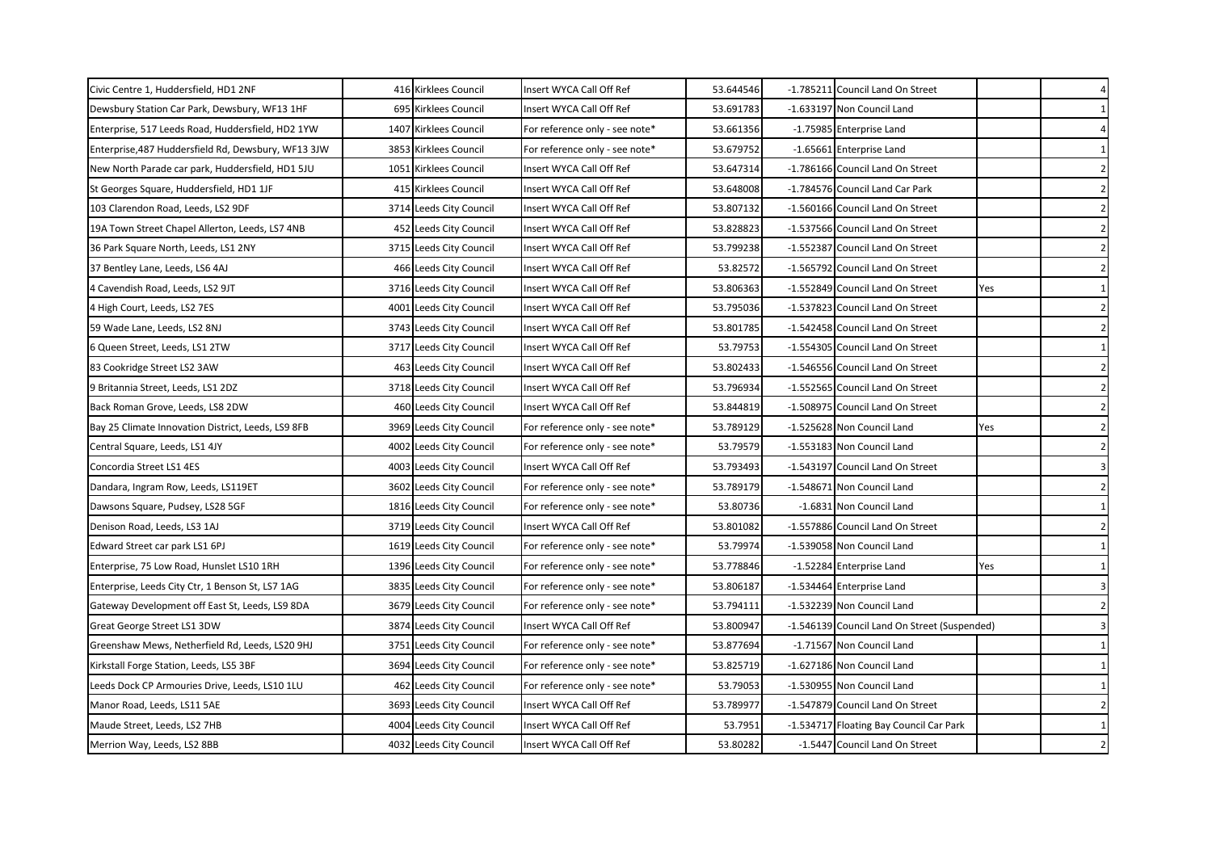| Civic Centre 1, Huddersfield, HD1 2NF               | 416 Kirklees Council    | Insert WYCA Call Off Ref       | 53.644546 | -1.785211 Council Land On Street             |     | $\overline{4}$          |
|-----------------------------------------------------|-------------------------|--------------------------------|-----------|----------------------------------------------|-----|-------------------------|
| Dewsbury Station Car Park, Dewsbury, WF13 1HF       | 695 Kirklees Council    | Insert WYCA Call Off Ref       | 53.691783 | -1.633197 Non Council Land                   |     | 1                       |
| Enterprise, 517 Leeds Road, Huddersfield, HD2 1YW   | 1407 Kirklees Council   | For reference only - see note* | 53.661356 | -1.75985 Enterprise Land                     |     | $\overline{4}$          |
| Enterprise, 487 Huddersfield Rd, Dewsbury, WF13 3JW | 3853 Kirklees Council   | For reference only - see note* | 53.679752 | -1.65661 Enterprise Land                     |     | 1                       |
| New North Parade car park, Huddersfield, HD1 5JU    | 1051 Kirklees Council   | Insert WYCA Call Off Ref       | 53.647314 | -1.786166 Council Land On Street             |     | $\overline{2}$          |
| St Georges Square, Huddersfield, HD1 1JF            | 415 Kirklees Council    | Insert WYCA Call Off Ref       | 53.648008 | -1.784576 Council Land Car Park              |     | $\overline{2}$          |
| 103 Clarendon Road, Leeds, LS2 9DF                  | 3714 Leeds City Council | Insert WYCA Call Off Ref       | 53.807132 | -1.560166 Council Land On Street             |     | $\overline{2}$          |
| 19A Town Street Chapel Allerton, Leeds, LS7 4NB     | 452 Leeds City Council  | Insert WYCA Call Off Ref       | 53.828823 | -1.537566 Council Land On Street             |     | $\overline{2}$          |
| 36 Park Square North, Leeds, LS1 2NY                | 3715 Leeds City Council | Insert WYCA Call Off Ref       | 53.799238 | -1.552387 Council Land On Street             |     | $\overline{2}$          |
| 37 Bentley Lane, Leeds, LS6 4AJ                     | 466 Leeds City Council  | Insert WYCA Call Off Ref       | 53.82572  | -1.565792 Council Land On Street             |     | $\overline{2}$          |
| 4 Cavendish Road, Leeds, LS2 9JT                    | 3716 Leeds City Council | Insert WYCA Call Off Ref       | 53.806363 | -1.552849 Council Land On Street             | Yes | $\mathbf{1}$            |
| 4 High Court, Leeds, LS2 7ES                        | 4001 Leeds City Council | Insert WYCA Call Off Ref       | 53.795036 | -1.537823 Council Land On Street             |     | $\overline{2}$          |
| 59 Wade Lane, Leeds, LS2 8NJ                        | 3743 Leeds City Council | Insert WYCA Call Off Ref       | 53.801785 | -1.542458 Council Land On Street             |     | $\overline{2}$          |
| 6 Queen Street, Leeds, LS1 2TW                      | 3717 Leeds City Council | Insert WYCA Call Off Ref       | 53.79753  | -1.554305 Council Land On Street             |     | 1                       |
| 83 Cookridge Street LS2 3AW                         | 463 Leeds City Council  | Insert WYCA Call Off Ref       | 53.802433 | -1.546556 Council Land On Street             |     | $\overline{2}$          |
| 9 Britannia Street, Leeds, LS1 2DZ                  | 3718 Leeds City Council | Insert WYCA Call Off Ref       | 53.796934 | -1.552565 Council Land On Street             |     | $\overline{2}$          |
| Back Roman Grove, Leeds, LS8 2DW                    | 460 Leeds City Council  | Insert WYCA Call Off Ref       | 53.844819 | -1.508975 Council Land On Street             |     | $\overline{\mathbf{2}}$ |
| Bay 25 Climate Innovation District, Leeds, LS9 8FB  | 3969 Leeds City Council | For reference only - see note* | 53.789129 | -1.525628 Non Council Land                   | Yes | $\overline{\mathbf{2}}$ |
| Central Square, Leeds, LS1 4JY                      | 4002 Leeds City Council | For reference only - see note* | 53.79579  | -1.553183 Non Council Land                   |     | $\overline{2}$          |
| Concordia Street LS1 4ES                            | 4003 Leeds City Council | Insert WYCA Call Off Ref       | 53.793493 | -1.543197 Council Land On Street             |     | 3                       |
| Dandara, Ingram Row, Leeds, LS119ET                 | 3602 Leeds City Council | For reference only - see note* | 53.789179 | -1.548671 Non Council Land                   |     | $\overline{2}$          |
| Dawsons Square, Pudsey, LS28 5GF                    | 1816 Leeds City Council | For reference only - see note* | 53.80736  | -1.6831 Non Council Land                     |     | 1                       |
| Denison Road, Leeds, LS3 1AJ                        | 3719 Leeds City Council | Insert WYCA Call Off Ref       | 53.801082 | -1.557886 Council Land On Street             |     | $\overline{2}$          |
| Edward Street car park LS1 6PJ                      | 1619 Leeds City Council | For reference only - see note* | 53.79974  | -1.539058 Non Council Land                   |     | $\mathbf{1}$            |
| Enterprise, 75 Low Road, Hunslet LS10 1RH           | 1396 Leeds City Council | For reference only - see note* | 53.778846 | -1.52284 Enterprise Land                     | Yes | $\mathbf{1}$            |
| Enterprise, Leeds City Ctr, 1 Benson St, LS7 1AG    | 3835 Leeds City Council | For reference only - see note* | 53.806187 | -1.534464 Enterprise Land                    |     | 3                       |
| Gateway Development off East St, Leeds, LS9 8DA     | 3679 Leeds City Council | For reference only - see note* | 53.794111 | -1.532239 Non Council Land                   |     | $\overline{2}$          |
| Great George Street LS1 3DW                         | 3874 Leeds City Council | Insert WYCA Call Off Ref       | 53.800947 | -1.546139 Council Land On Street (Suspended) |     | 3                       |
| Greenshaw Mews, Netherfield Rd, Leeds, LS20 9HJ     | 3751 Leeds City Council | For reference only - see note* | 53.877694 | -1.71567 Non Council Land                    |     | $\mathbf{1}$            |
| Kirkstall Forge Station, Leeds, LS5 3BF             | 3694 Leeds City Council | For reference only - see note* | 53.825719 | -1.627186 Non Council Land                   |     | 1                       |
| Leeds Dock CP Armouries Drive, Leeds, LS10 1LU      | 462 Leeds City Council  | For reference only - see note* | 53.79053  | -1.530955 Non Council Land                   |     | $\mathbf{1}$            |
| Manor Road, Leeds, LS11 5AE                         | 3693 Leeds City Council | Insert WYCA Call Off Ref       | 53.789977 | -1.547879 Council Land On Street             |     | $\overline{2}$          |
| Maude Street, Leeds, LS2 7HB                        | 4004 Leeds City Council | Insert WYCA Call Off Ref       | 53.7951   | -1.534717 Floating Bay Council Car Park      |     | 1                       |
| Merrion Way, Leeds, LS2 8BB                         | 4032 Leeds City Council | Insert WYCA Call Off Ref       | 53.80282  | -1.5447 Council Land On Street               |     | $\overline{2}$          |
|                                                     |                         |                                |           |                                              |     |                         |